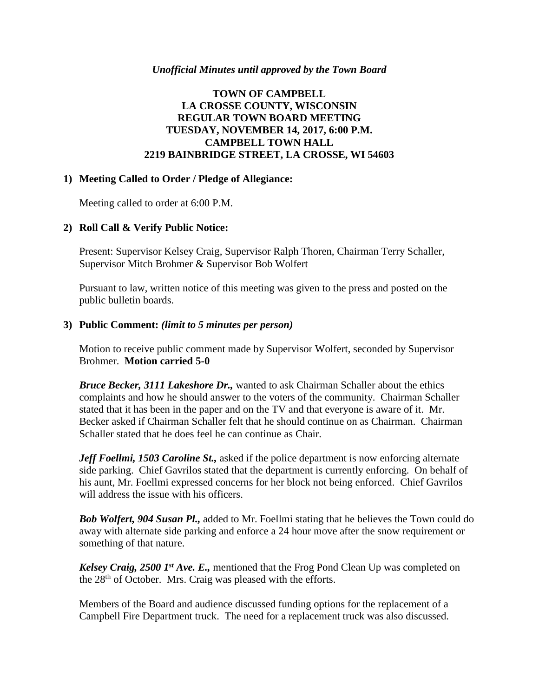### *Unofficial Minutes until approved by the Town Board*

# **TOWN OF CAMPBELL LA CROSSE COUNTY, WISCONSIN REGULAR TOWN BOARD MEETING TUESDAY, NOVEMBER 14, 2017, 6:00 P.M. CAMPBELL TOWN HALL 2219 BAINBRIDGE STREET, LA CROSSE, WI 54603**

## **1) Meeting Called to Order / Pledge of Allegiance:**

Meeting called to order at 6:00 P.M.

# **2) Roll Call & Verify Public Notice:**

Present: Supervisor Kelsey Craig, Supervisor Ralph Thoren, Chairman Terry Schaller, Supervisor Mitch Brohmer & Supervisor Bob Wolfert

Pursuant to law, written notice of this meeting was given to the press and posted on the public bulletin boards.

### **3) Public Comment:** *(limit to 5 minutes per person)*

Motion to receive public comment made by Supervisor Wolfert, seconded by Supervisor Brohmer. **Motion carried 5-0**

*Bruce Becker, 3111 Lakeshore Dr.,* wanted to ask Chairman Schaller about the ethics complaints and how he should answer to the voters of the community. Chairman Schaller stated that it has been in the paper and on the TV and that everyone is aware of it. Mr. Becker asked if Chairman Schaller felt that he should continue on as Chairman. Chairman Schaller stated that he does feel he can continue as Chair.

*Jeff Foellmi, 1503 Caroline St.,* asked if the police department is now enforcing alternate side parking. Chief Gavrilos stated that the department is currently enforcing. On behalf of his aunt, Mr. Foellmi expressed concerns for her block not being enforced. Chief Gavrilos will address the issue with his officers.

*Bob Wolfert, 904 Susan Pl.,* added to Mr. Foellmi stating that he believes the Town could do away with alternate side parking and enforce a 24 hour move after the snow requirement or something of that nature.

*Kelsey Craig, 2500 1st Ave. E.,* mentioned that the Frog Pond Clean Up was completed on the 28<sup>th</sup> of October. Mrs. Craig was pleased with the efforts.

Members of the Board and audience discussed funding options for the replacement of a Campbell Fire Department truck. The need for a replacement truck was also discussed.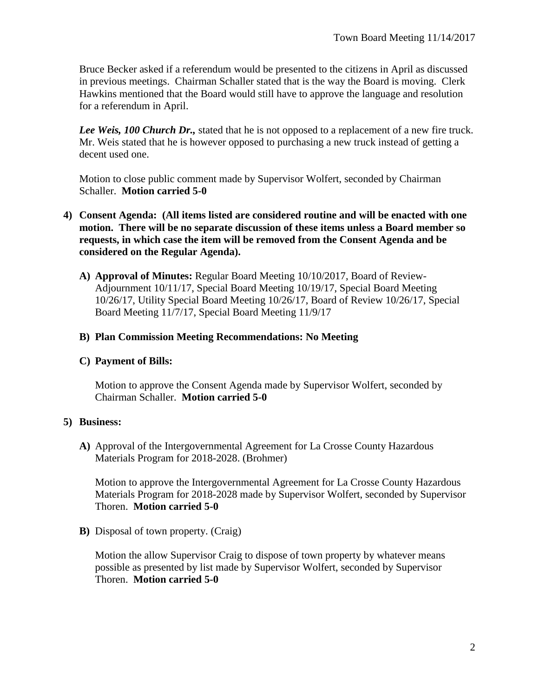Bruce Becker asked if a referendum would be presented to the citizens in April as discussed in previous meetings. Chairman Schaller stated that is the way the Board is moving. Clerk Hawkins mentioned that the Board would still have to approve the language and resolution for a referendum in April.

*Lee Weis, 100 Church Dr.,* stated that he is not opposed to a replacement of a new fire truck. Mr. Weis stated that he is however opposed to purchasing a new truck instead of getting a decent used one.

Motion to close public comment made by Supervisor Wolfert, seconded by Chairman Schaller. **Motion carried 5-0**

- **4) Consent Agenda: (All items listed are considered routine and will be enacted with one motion. There will be no separate discussion of these items unless a Board member so requests, in which case the item will be removed from the Consent Agenda and be considered on the Regular Agenda).**
	- **A) Approval of Minutes:** Regular Board Meeting 10/10/2017, Board of Review-Adjournment 10/11/17, Special Board Meeting 10/19/17, Special Board Meeting 10/26/17, Utility Special Board Meeting 10/26/17, Board of Review 10/26/17, Special Board Meeting 11/7/17, Special Board Meeting 11/9/17

## **B) Plan Commission Meeting Recommendations: No Meeting**

### **C) Payment of Bills:**

Motion to approve the Consent Agenda made by Supervisor Wolfert, seconded by Chairman Schaller. **Motion carried 5-0**

### **5) Business:**

**A)** Approval of the Intergovernmental Agreement for La Crosse County Hazardous Materials Program for 2018-2028. (Brohmer)

Motion to approve the Intergovernmental Agreement for La Crosse County Hazardous Materials Program for 2018-2028 made by Supervisor Wolfert, seconded by Supervisor Thoren. **Motion carried 5-0**

**B)** Disposal of town property. (Craig)

Motion the allow Supervisor Craig to dispose of town property by whatever means possible as presented by list made by Supervisor Wolfert, seconded by Supervisor Thoren. **Motion carried 5-0**